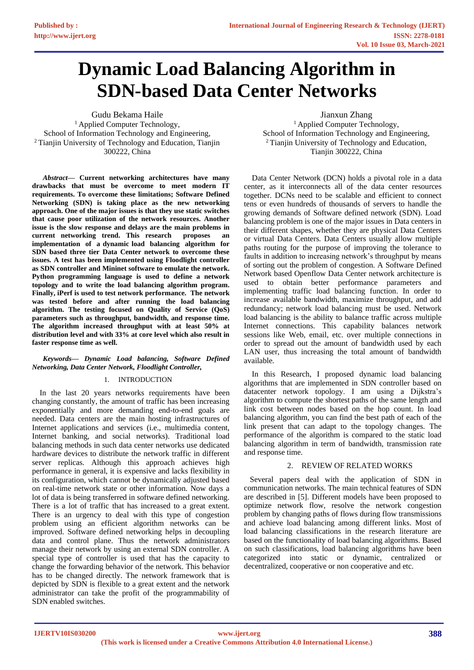# **Dynamic Load Balancing Algorithm in SDN-based Data Center Networks**

Gudu Bekama Haile <sup>1</sup> Applied Computer Technology, School of Information Technology and Engineering, <sup>2</sup> Tianjin University of Technology and Education, Tianjin 300222, China

*Abstract***— Current networking architectures have many drawbacks that must be overcome to meet modern IT requirements. To overcome these limitations; Software Defined Networking (SDN) is taking place as the new networking approach. One of the major issues is that they use static switches that cause poor utilization of the network resources. Another issue is the slow response and delays are the main problems in current networking trend. This research proposes an implementation of a dynamic load balancing algorithm for SDN based three tier Data Center network to overcome these issues. A test has been implemented using Floodlight controller as SDN controller and Mininet software to emulate the network. Python programming language is used to define a network topology and to write the load balancing algorithm program. Finally, iPerf is used to test network performance. The network was tested before and after running the load balancing algorithm. The testing focused on Quality of Service (QoS) parameters such as throughput, bandwidth, and response time. The algorithm increased throughput with at least 50% at distribution level and with 33% at core level which also result in faster response time as well.**

## *Keywords— Dynamic Load balancing, Software Defined Networking, Data Center Network, Floodlight Controller,*

# 1. INTRODUCTION

 In the last 20 years networks requirements have been changing constantly, the amount of traffic has been increasing exponentially and more demanding end-to-end goals are needed. Data centers are the main hosting infrastructures of Internet applications and services (i.e., multimedia content, Internet banking, and social networks). Traditional load balancing methods in such data center networks use dedicated hardware devices to distribute the network traffic in different server replicas. Although this approach achieves high performance in general, it is expensive and lacks flexibility in its configuration, which cannot be dynamically adjusted based on real-time network state or other information. Now days a lot of data is being transferred in software defined networking. There is a lot of traffic that has increased to a great extent. There is an urgency to deal with this type of congestion problem using an efficient algorithm networks can be improved. Software defined networking helps in decoupling data and control plane. Thus the network administrators manage their network by using an external SDN controller. A special type of controller is used that has the capacity to change the forwarding behavior of the network. This behavior has to be changed directly. The network framework that is depicted by SDN is flexible to a great extent and the network administrator can take the profit of the programmability of SDN enabled switches.

Jianxun Zhang

<sup>1</sup> Applied Computer Technology, School of Information Technology and Engineering, <sup>2</sup>Tianjin University of Technology and Education, Tianjin 300222, China

 Data Center Network (DCN) holds a pivotal role in a data center, as it interconnects all of the data center resources together. DCNs need to be scalable and efficient to connect tens or even hundreds of thousands of servers to handle the growing demands of Software defined network (SDN). Load balancing problem is one of the major issues in Data centers in their different shapes, whether they are physical Data Centers or virtual Data Centers. Data Centers usually allow multiple paths routing for the purpose of improving the tolerance to faults in addition to increasing network's throughput by means of sorting out the problem of congestion. A Software Defined Network based Openflow Data Center network architecture is used to obtain better performance parameters and implementing traffic load balancing function. In order to increase available bandwidth, maximize throughput, and add redundancy; network load balancing must be used. Network load balancing is the ability to balance traffic across multiple Internet connections. This capability balances network sessions like Web, email, etc. over multiple connections in order to spread out the amount of bandwidth used by each LAN user, thus increasing the total amount of bandwidth available.

 In this Research, I proposed dynamic load balancing algorithms that are implemented in SDN controller based on datacenter network topology. I am using a Dijkstra's algorithm to compute the shortest paths of the same length and link cost between nodes based on the hop count. In load balancing algorithm, you can find the best path of each of the link present that can adapt to the topology changes. The performance of the algorithm is compared to the static load balancing algorithm in term of bandwidth, transmission rate and response time.

# 2. REVIEW OF RELATED WORKS

 Several papers deal with the application of SDN in communication networks. The main technical features of SDN are described in [5]. Different models have been proposed to optimize network flow, resolve the network congestion problem by changing paths of flows during flow transmissions and achieve load balancing among different links. Most of load balancing classifications in the research literature are based on the functionality of load balancing algorithms. Based on such classifications, load balancing algorithms have been categorized into static or dynamic, centralized or decentralized, cooperative or non cooperative and etc.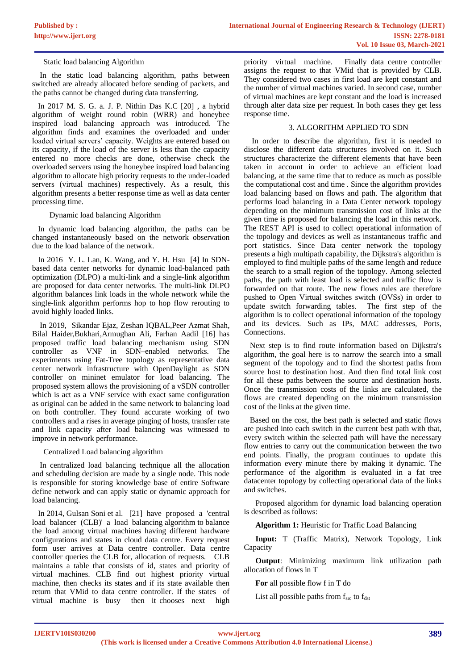Static load balancing Algorithm

In the static load balancing algorithm, paths between switched are already allocated before sending of packets, and the paths cannot be changed during data transferring.

In 2017 M. S. G. a. J. P. Nithin Das K.C [20] , a hybrid algorithm of weight round robin (WRR) and honeybee inspired load balancing approach was introduced. The algorithm finds and examines the overloaded and under loaded virtual servers' capacity. Weights are entered based on its capacity, if the load of the server is less than the capacity entered no more checks are done, otherwise check the overloaded servers using the honeybee inspired load balancing algorithm to allocate high priority requests to the under-loaded servers (virtual machines) respectively. As a result, this algorithm presents a better response time as well as data center processing time.

Dynamic load balancing Algorithm

 In dynamic load balancing algorithm, the paths can be changed instantaneously based on the network observation due to the load balance of the network.

 In 2016 Y. L. Lan, K. Wang, and Y. H. Hsu [4] In SDNbased data center networks for dynamic load-balanced path optimization (DLPO) a multi-link and a single-link algorithm are proposed for data center networks. The multi-link DLPO algorithm balances link loads in the whole network while the single-link algorithm performs hop to hop flow rerouting to avoid highly loaded links.

 In 2019, Sikandar Ejaz, Zeshan IQBAL,Peer Azmat Shah, Bilal Haider,Bukhari,Armughan Ali, Farhan Aadil [16] has proposed traffic load balancing mechanism using SDN controller as VNF in SDN–enabled networks. The experiments using Fat-Tree topology as representative data center network infrastructure with OpenDaylight as SDN controller on mininet emulator for load balancing. The proposed system allows the provisioning of a vSDN controller which is act as a VNF service with exact same configuration as original can be added in the same network to balancing load on both controller. They found accurate working of two controllers and a rises in average pinging of hosts, transfer rate and link capacity after load balancing was witnessed to improve in network performance.

Centralized Load balancing algorithm

 In centralized load balancing technique all the allocation and scheduling decision are made by a single node. This node is responsible for storing knowledge base of entire Software define network and can apply static or dynamic approach for load balancing.

In 2014, Gulsan Soni et al. [21] have proposed a 'central load balancer (CLB)' a load balancing algorithm to balance the load among virtual machines having different hardware configurations and states in cloud data centre. Every request form user arrives at Data centre controller. Data centre controller queries the CLB for, allocation of requests. CLB maintains a table that consists of id, states and priority of virtual machines. CLB find out highest priority virtual machine, then checks its states and if its state available then return that VMid to data centre controller. If the states of virtual machine is busy then it chooses next high

priority virtual machine. Finally data centre controller assigns the request to that VMid that is provided by CLB. They considered two cases in first load are kept constant and the number of virtual machines varied. In second case, number of virtual machines are kept constant and the load is increased through alter data size per request. In both cases they get less response time.

# 3. ALGORITHM APPLIED TO SDN

 In order to describe the algorithm, first it is needed to disclose the different data structures involved on it. Such structures characterize the different elements that have been taken in account in order to achieve an efficient load balancing, at the same time that to reduce as much as possible the computational cost and time . Since the algorithm provides load balancing based on flows and path. The algorithm that performs load balancing in a Data Center network topology depending on the minimum transmission cost of links at the given time is proposed for balancing the load in this network. The REST API is used to collect operational information of the topology and devices as well as instantaneous traffic and port statistics. Since Data center network the topology presents a high multipath capability, the Dijkstra's algorithm is employed to find multiple paths of the same length and reduce the search to a small region of the topology. Among selected paths, the path with least load is selected and traffic flow is forwarded on that route. The new flows rules are therefore pushed to Open Virtual switches switch (OVSs) in order to update switch forwarding tables. The first step of the algorithm is to collect operational information of the topology and its devices. Such as IPs, MAC addresses, Ports, Connections.

 Next step is to find route information based on Dijkstra's algorithm, the goal here is to narrow the search into a small segment of the topology and to find the shortest paths from source host to destination host. And then find total link cost for all these paths between the source and destination hosts. Once the transmission costs of the links are calculated, the flows are created depending on the minimum transmission cost of the links at the given time.

 Based on the cost, the best path is selected and static flows are pushed into each switch in the current best path with that, every switch within the selected path will have the necessary flow entries to carry out the communication between the two end points. Finally, the program continues to update this information every minute there by making it dynamic. The performance of the algorithm is evaluated in a fat tree datacenter topology by collecting operational data of the links and switches.

Proposed algorithm for dynamic load balancing operation is described as follows:

**Algorithm 1:** Heuristic for Traffic Load Balancing

**Input:** T (Traffic Matrix), Network Topology, Link Capacity

**Output**: Minimizing maximum link utilization path allocation of flows in T

**For** all possible flow f in T do

List all possible paths from  $f_{src}$  to  $f_{dst}$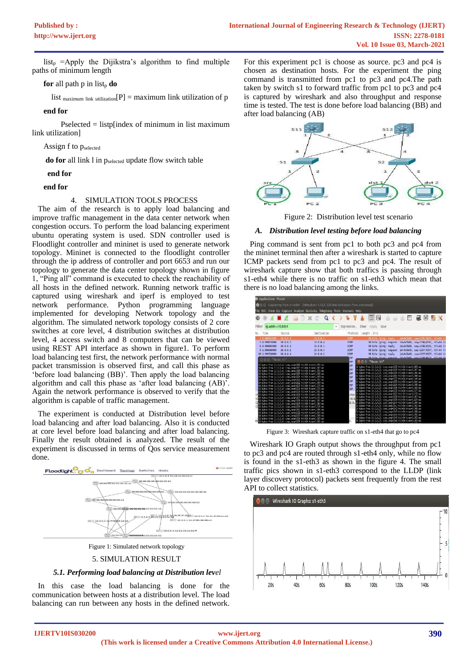list<sub>p</sub> =Apply the Dijikstra's algorithm to find multiple paths of minimum length

# **for** all path p in list<sub>p</sub> **do**

list  $\text{maximum link utilization}[P] = \text{maximum link utilization of } p$ 

**end for**

Pselected = listp[index of minimum in list maximum link utilization]

Assign f to pselected

do for all link l in pselected update flow switch table

#### **end for**

#### **end for**

#### 4. SIMULATION TOOLS PROCESS

 The aim of the research is to apply load balancing and improve traffic management in the data center network when congestion occurs. To perform the load balancing experiment ubuntu operating system is used. SDN controller used is Floodlight controller and mininet is used to generate network topology. Mininet is connected to the floodlight controller through the ip address of controller and port 6653 and run our topology to generate the data center topology shown in figure 1, "Ping all" command is executed to check the reachability of all hosts in the defined network. Running network traffic is captured using wireshark and iperf is employed to test network performance. Python programming language implemented for developing Network topology and the algorithm. The simulated network topology consists of 2 core switches at core level, 4 distribution switches at distribution level, 4 access switch and 8 computers that can be viewed using REST API interface as shown in figure1. To perform load balancing test first, the network performance with normal packet transmission is observed first, and call this phase as 'before load balancing (BB)'. Then apply the load balancing algorithm and call this phase as 'after load balancing (AB)'. Again the network performance is observed to verify that the algorithm is capable of traffic management.

 The experiment is conducted at Distribution level before load balancing and after load balancing. Also it is conducted at core level before load balancing and after load balancing. Finally the result obtained is analyzed. The result of the experiment is discussed in terms of Qos service measurement done.



5. SIMULATION RESULT

## *5.1. Performing load balancing at Distribution level*

 In this case the load balancing is done for the communication between hosts at a distribution level. The load balancing can run between any hosts in the defined network.

For this experiment pc1 is choose as source. pc3 and pc4 is chosen as destination hosts. For the experiment the ping command is transmitted from pc1 to pc3 and pc4.The path taken by switch s1 to forward traffic from pc1 to pc3 and pc4 is captured by wireshark and also throughput and response time is tested. The test is done before load balancing (BB) and after load balancing (AB)



Figure 2: Distribution level test scenario

# *A. Distribution level testing before load balancing*

 Ping command is sent from pc1 to both pc3 and pc4 from the mininet terminal then after a wireshark is started to capture ICMP packets send from pc1 to pc3 and pc4. The result of wireshark capture show that both traffics is passing through s1-eth4 while there is no traffic on s1-eth3 which mean that there is no load balancing among the links.

| Applications Places<br>Capturing from s1-eth4 [Wireshark 1.12.3 (Git Rev Unknown from unknown)]                                                                                                                                                                                                                                                                                                                                                                                                                                                                                                                                                                                                                                                                                                                                                                                                                                                                                                                                                                                                                                                                                                                                                                                                          |                                                                                                                                                                                                                                                                                                                                                                                                                                                                                              |                                                                                                                                                                                                                                                                                                                                                                                                                                                                                                                                                                                                                                                                                                                                                                                                                                                                                                                                                                                                                                                                                                                                                                                                                                                                                                                                                                                                                                                             |
|----------------------------------------------------------------------------------------------------------------------------------------------------------------------------------------------------------------------------------------------------------------------------------------------------------------------------------------------------------------------------------------------------------------------------------------------------------------------------------------------------------------------------------------------------------------------------------------------------------------------------------------------------------------------------------------------------------------------------------------------------------------------------------------------------------------------------------------------------------------------------------------------------------------------------------------------------------------------------------------------------------------------------------------------------------------------------------------------------------------------------------------------------------------------------------------------------------------------------------------------------------------------------------------------------------|----------------------------------------------------------------------------------------------------------------------------------------------------------------------------------------------------------------------------------------------------------------------------------------------------------------------------------------------------------------------------------------------------------------------------------------------------------------------------------------------|-------------------------------------------------------------------------------------------------------------------------------------------------------------------------------------------------------------------------------------------------------------------------------------------------------------------------------------------------------------------------------------------------------------------------------------------------------------------------------------------------------------------------------------------------------------------------------------------------------------------------------------------------------------------------------------------------------------------------------------------------------------------------------------------------------------------------------------------------------------------------------------------------------------------------------------------------------------------------------------------------------------------------------------------------------------------------------------------------------------------------------------------------------------------------------------------------------------------------------------------------------------------------------------------------------------------------------------------------------------------------------------------------------------------------------------------------------------|
| File Edit View Go Capture Analyze Statistics Telephony Tools Internals Help<br>⊜<br>$\circledcirc$                                                                                                                                                                                                                                                                                                                                                                                                                                                                                                                                                                                                                                                                                                                                                                                                                                                                                                                                                                                                                                                                                                                                                                                                       | $\blacksquare$ $\triangle$ $\blacksquare$ $\blacksquare$ $\blacksquare$ $\blacksquare$ $\blacksquare$ $\blacksquare$ $\blacksquare$ $\blacksquare$ $\blacksquare$ $\blacksquare$ $\blacksquare$ $\blacksquare$ $\blacksquare$ $\blacksquare$ $\blacksquare$ $\blacksquare$ $\blacksquare$ $\blacksquare$ $\blacksquare$ $\blacksquare$ $\blacksquare$ $\blacksquare$ $\blacksquare$ $\blacksquare$ $\blacksquare$ $\blacksquare$ $\blacksquare$ $\blacksquare$ $\blacksquare$ $\blacksquare$ | L.<br>E<br>$\mathbb{R}^n$<br>$ \hat{\mathcal{C}} $<br>医<br><b>MX</b><br>[0]<br>$[ \odot ]$                                                                                                                                                                                                                                                                                                                                                                                                                                                                                                                                                                                                                                                                                                                                                                                                                                                                                                                                                                                                                                                                                                                                                                                                                                                                                                                                                                  |
| Filter: ip.addr==10.0.0.4<br>Time<br>Source<br>Vo.                                                                                                                                                                                                                                                                                                                                                                                                                                                                                                                                                                                                                                                                                                                                                                                                                                                                                                                                                                                                                                                                                                                                                                                                                                                       | Destination                                                                                                                                                                                                                                                                                                                                                                                                                                                                                  | Expression Clear Apply Save<br>$\mathbf{r}$<br>Protocol Length Into                                                                                                                                                                                                                                                                                                                                                                                                                                                                                                                                                                                                                                                                                                                                                                                                                                                                                                                                                                                                                                                                                                                                                                                                                                                                                                                                                                                         |
| 10.8.8.4<br>2 B:600857803<br>5 8.999633883<br>18.6.8.1<br>18.6.8.4<br>6 8.999682883<br>0 1.000688889<br>10.6.0.1<br>18 1.999739889<br>10.8.0.4                                                                                                                                                                                                                                                                                                                                                                                                                                                                                                                                                                                                                                                                                                                                                                                                                                                                                                                                                                                                                                                                                                                                                           | 18.8.0.1<br>16.8.6.4<br>10.8.0.1<br>10.0.0.4<br>10.0.0.1                                                                                                                                                                                                                                                                                                                                                                                                                                     | <b>ICMP</b><br>id=0x3b48 sep=1295/3845 ttl=64 (r<br>98 Echo (ping) reply<br><b>TCMP</b><br>98 Fchn (ping) request id=0x3h48, seg=1296/4181, ttl=64 (r<br>ICMP<br>98 Echo (ping) reply<br>id=0x3b48, seg=1296/4101, ttl=64 (r<br><b>ICMP</b><br>98 Echo (ping) request id-0x3b48, seg-1297/4357, ttl-64 (r<br><b>TCMP</b><br>98 Echo (ping) reply<br>id-0x3b48, seg-1297/4357, ttl-64 (r                                                                                                                                                                                                                                                                                                                                                                                                                                                                                                                                                                                                                                                                                                                                                                                                                                                                                                                                                                                                                                                                     |
| ◎ 色画 "Node: h1"<br>64 butco from 10,0,0,4; iomp_opg=1616 ttl=64 timp=0,080 mp<br>64 hutes from 10.0.0.4; inmp_seg=1617 thir64 time=0.062 as<br>64 butes from 10.0.0.4: icmp seq=1618 ttl=64 time=0.054 ms<br>64 bytes from 10.0.0.4; icmp_seq=1619 ttl=64 time=0.068 ms<br>64 butes from 10.0.0.4; icmp_seq=1620 ttl=64 time=4.069 ms<br>G4 butes from 10.0.0.4; icmp_seq=1021 ttl=G4 time=C.057 ms<br>64 butes from 10,0,0,4; ican_send522 ttld64 time=0,069 as<br>64 butes from 10.0.0.4; icmp seq=1623 ttl=64 time=0.073 ms<br>64 butes from 10.0.0.4; icmp seq=1624 ttl=64 time=0.074 ms<br>64 butes from 10,0,0,4; icmp_seq=1625 tt1=64 time=0,061 ms<br>F64 butes from 10.0.0.4; icmp_seq=1626 ttl=64 time=0.064 ms<br>64 butco from 10,0,0,4; icmp_occ=1627 ttl=64 timp=0,071 mp<br>id hytes from 10.0.0.4; insp_seg=1628 ttl=64 time=0.061 ms<br>64 butes from 10.0.0.4; icap seq=1629 ttl=64 time=0.060 ms<br>U64 butes from 10.0.0.4; icmp_seq=1630 ttl=64 time=0.076 ms<br>64 butes from 10.0.0.4; icmp_seq=1631 ttl=64 time=0.056 ms<br>G4 butes from 10,0,0,4; icmp_seq=1632 ttl=G4 time=C,0G4 ms<br>64 butes from 10.0.0.4; icap_seq=1633 ttl=64 time=0.068 ms<br>64 butes from 10.0.0.4; icmp seq=1634 ttl=64 time=0.069 ms<br>64 butes from 10.0.0.4; icmp_seq=1635 ttl=64 time=0.061 ms |                                                                                                                                                                                                                                                                                                                                                                                                                                                                                              | 98 Echo (ning) request id_8x3h48 seq_1298/4613 ++1_64 (c<br><b>CMP</b><br><b>B</b> n "Node: h1"<br><b>EMP</b><br><b>MP</b><br>34 bytes from 10.0.0.3; icmp_seq=1628 ttl=64 time=0.169 ms<br><b>MP</b><br>54 butes from 10.0.0.3: icmp.sec=1629 ttl=64 time=0.067 ms<br>54 butes from 10.0.0.3; icmp.seq=1630 ttl=64 time=0.000 ms<br><b>CMP</b><br>54 butcs from 10.0.0.3; icmp_sco=1631 ttl=64 time=0.068 ms<br><b>CMP</b><br>54 hutes from 10.0.0.3; inmp_seq=1632 ttl=64 time=0.049 ms<br><b>CMP</b><br>54 bytes from 10.0.0.3; icmp_seq=1633 ttl=64 time=0.100 ms<br>34 butes from 10.0.0.3; icmp seq=1634 ttl=64 time=0.055 ms<br><b>IMP</b><br>54 butes from 10.0.0.3; icmp.sec=1635 ttl=64 time=0.069 ms<br><b>MP</b><br>34 butes from 10.0.0.3; icmp_seq=1636 ttl=64 time=0.077 ns<br>54 bytes from 10.0.0.3; icep_seq=1637 ttl=64 time=0.072 ms<br>inter<br>54 butes from 10.0.0.3; icmp seq=1638 ttl=64 time=0.067 ms<br>14:8<br>34 bytes from 10,0,0,3; icrp_seq=1639 ttl=64 time=0,129 ms<br>0.0. # bytes from 10.0.0.3; icrp_seq=1640 ttl=64 time=0.000 ms<br>54 butes from 10.0.0.3; tomp_seq=1841 ttl=84 time=0.062 ms<br>54 butco from 10,0,0,3; icep_oco=18-2 ttl=64 time=0,068 mo<br>54 hutes from 10.0.0.3; irrp_seq=1643 ttl=64 time=0.068 ms<br>54 butes from 10.0.0.3: icmp.sec=1644 ttl=64 time=0.052 ms<br>54 butes from 10.0.0.3; icmp.sec=16-5 ttl=64 time=0.053 ms<br>54 butes from 10.0.0.3; icmp_seq=1646 ttl=64 time=0.069 ms |

Figure 3: Wireshark capture traffic on s1-eth4 that go to pc4

 Wireshark IO Graph output shows the throughput from pc1 to pc3 and pc4 are routed through s1-eth4 only, while no flow is found in the s1-eth3 as shown in the figure 4. The small traffic pics shown in s1-eth3 correspond to the LLDP (link layer discovery protocol) packets sent frequently from the rest API to collect statistics.

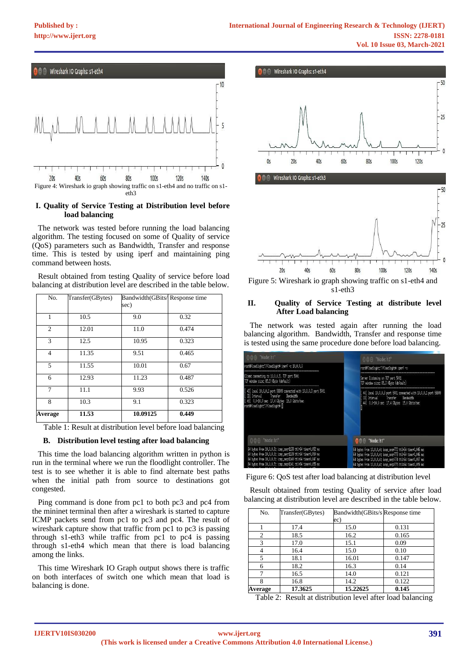

# **I. Quality of Service Testing at Distribution level before load balancing**

 The network was tested before running the load balancing algorithm. The testing focused on some of Quality of service (QoS) parameters such as Bandwidth, Transfer and response time. This is tested by using iperf and maintaining ping command between hosts.

 Result obtained from testing Quality of service before load balancing at distribution level are described in the table below.

| No.            | Transfer(GBytes) | Bandwidth(GBits/Response time<br>sec) |       |
|----------------|------------------|---------------------------------------|-------|
| 1              | 10.5             | 9.0                                   | 0.32  |
| $\overline{c}$ | 12.01            | 11.0                                  | 0.474 |
| 3              | 12.5             | 10.95                                 | 0.323 |
| 4              | 11.35            | 9.51                                  | 0.465 |
| 5              | 11.55            | 10.01                                 | 0.67  |
| 6              | 12.93            | 11.23                                 | 0.487 |
| 7              | 11.1             | 9.93                                  | 0.526 |
| 8              | 10.3             | 9.1                                   | 0.323 |
| Average        | 11.53            | 10.09125                              | 0.449 |

Table 1: Result at distribution level before load balancing

# **B. Distribution level testing after load balancing**

 This time the load balancing algorithm written in python is run in the terminal where we run the floodlight controller. The test is to see whether it is able to find alternate best paths when the initial path from source to destinations got congested.

 Ping command is done from pc1 to both pc3 and pc4 from the mininet terminal then after a wireshark is started to capture ICMP packets send from pc1 to pc3 and pc4. The result of wireshark capture show that traffic from pc1 to pc3 is passing through s1-eth3 while traffic from pc1 to pc4 is passing through s1-eth4 which mean that there is load balancing among the links.

 This time Wireshark IO Graph output shows there is traffic on both interfaces of switch one which mean that load is balancing is done.



 $40s$ **100s 120s**  $20s$ 60s **80s 140s** Figure 5: Wireshark io graph showing traffic on s1-eth4 and s1-eth3

# **II. Quality of Service Testing at distribute level After Load balancing**

 The network was tested again after running the load balancing algorithm. Bandwidth, Transfer and response time is tested using the same procedure done before load balancing.

| ◎曲面 "Node: h1"                                                                                                                                                                                                                                        | ◎ 6 回 "Node: h3"                                                                                                                                                                                                                                 |
|-------------------------------------------------------------------------------------------------------------------------------------------------------------------------------------------------------------------------------------------------------|--------------------------------------------------------------------------------------------------------------------------------------------------------------------------------------------------------------------------------------------------|
| root@floodlight;"/floodlight# iperf -c 10.0.0.3                                                                                                                                                                                                       | root@floodlight;"/floodlight# iperf –s                                                                                                                                                                                                           |
| Client connecting to 10,0,0,3, TCP port 5001<br>TCP window size: 85.3 KBwte (default)                                                                                                                                                                 | Server listening on TCP port 5001<br>TCP window size: 85.3 KBute (default)                                                                                                                                                                       |
| [ 43] local 10.0.0.1 port 58809 connected with 10.0.0.3 port 5001<br>[ III] Interval Transfer Banduidth<br>[ 43] 0.0-10.0 sec 17.4 GButes 15.0 Gbits/sec<br>root@floodlight;"/floodlight#                                                             | [ 44] local 10,0,0,3 port 5001 connected with 10,0,0,1 port 58809<br>[ ID] Interval        Transfer      Bandwidth<br>44] 0.0-10.0 sec 17.4 GButes 15.0 Gbits/sec                                                                                |
| <b>公合问 "Node: h1"</b>                                                                                                                                                                                                                                 | <b>Belo</b> "Node: h1"                                                                                                                                                                                                                           |
| 64 bytes from 10.0.0.3: icmp_seq=1138 ttl=64 time=0.052 ms<br>64 butes from 10.0.0.3: iomp_seq=1139 ttl=64 time=0.050 ms<br>64 bytes from 10,0,0,3; iomp_seq=1140 ttl=64 time=0,047 ms<br> 64 butes from 10,0,0,3; icmp_seq=1141 ttl=64 time=0,055 ms | 64 butes from 10.0.0.4; iomp_seq=772 ttl=64 time=0.045 ms<br>64 bytes from 10,0,0,4; icmp_seq=773 ttl=64 time=0,046 ms<br>64 butes from 10.0.0.4; icmp_seq=774 ttl=64 time=0.057 ms<br>64 bytes from 10,0,0,4; icmp_seq=775 ttl=64 time=0,055 ms |

Figure 6: QoS test after load balancing at distribution level

 Result obtained from testing Quality of service after load balancing at distribution level are described in the table below.

| No.            | Transfer(GBytes) | Bandwidth (GBits/s Response time |       |
|----------------|------------------|----------------------------------|-------|
|                |                  | ec)                              |       |
|                | 17.4             | 15.0                             | 0.131 |
| $\mathfrak{D}$ | 18.5             | 16.2                             | 0.165 |
| $\mathbf{3}$   | 17.0             | 15.1                             | 0.09  |
|                | 16.4             | 15.0                             | 0.10  |
| 5              | 18.1             | 16.01                            | 0.147 |
|                | 18.2             | 16.3                             | 0.14  |
|                | 16.5             | 14.0                             | 0.121 |
|                | 16.8             | 14.2                             | 0.122 |
| Average        | 17.3625          | 15.22625                         | 0.145 |

Table 2: Result at distribution level after load balancing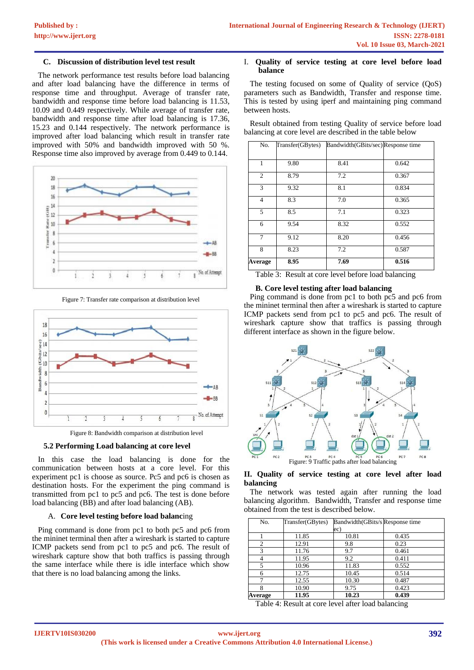# **C. Discussion of distribution level test result**

 The network performance test results before load balancing and after load balancing have the difference in terms of response time and throughput. Average of transfer rate, bandwidth and response time before load balancing is 11.53, 10.09 and 0.449 respectively. While average of transfer rate, bandwidth and response time after load balancing is 17.36, 15.23 and 0.144 respectively. The network performance is improved after load balancing which result in transfer rate improved with 50% and bandwidth improved with 50 %. Response time also improved by average from 0.449 to 0.144.



Figure 7: Transfer rate comparison at distribution level



Figure 8: Bandwidth comparison at distribution level

## **5.2 Performing Load balancing at core level**

 In this case the load balancing is done for the communication between hosts at a core level. For this experiment pc1 is choose as source. Pc5 and pc6 is chosen as destination hosts. For the experiment the ping command is transmitted from pc1 to pc5 and pc6. The test is done before load balancing (BB) and after load balancing (AB).

## A. **Core level testing before load balanc**ing

 Ping command is done from pc1 to both pc5 and pc6 from the mininet terminal then after a wireshark is started to capture ICMP packets send from pc1 to pc5 and pc6. The result of wireshark capture show that both traffics is passing through the same interface while there is idle interface which show that there is no load balancing among the links.

# I. **Quality of service testing at core level before load balance**

 The testing focused on some of Quality of service (QoS) parameters such as Bandwidth, Transfer and response time. This is tested by using iperf and maintaining ping command between hosts.

 Result obtained from testing Quality of service before load balancing at core level are described in the table below

| No.            | Transfer(GBytes) | Bandwidth(GBits/sec) Response time |       |
|----------------|------------------|------------------------------------|-------|
| 1              | 9.80             | 8.41                               | 0.642 |
| 2              | 8.79             | 7.2                                | 0.367 |
| 3              | 9.32             | 8.1                                | 0.834 |
| $\overline{4}$ | 8.3              | 7.0                                | 0.365 |
| 5              | 8.5              | 7.1                                | 0.323 |
| 6              | 9.54             | 8.32                               | 0.552 |
| 7              | 9.12             | 8.20                               | 0.456 |
| 8              | 8.23             | 7.2                                | 0.587 |
| Average        | 8.95             | 7.69                               | 0.516 |

Table 3: Result at core level before load balancing

## **B. Core level testing after load balancing**

 Ping command is done from pc1 to both pc5 and pc6 from the mininet terminal then after a wireshark is started to capture ICMP packets send from pc1 to pc5 and pc6. The result of wireshark capture show that traffics is passing through different interface as shown in the figure below.



## **II. Quality of service testing at core level after load balancing**

 The network was tested again after running the load balancing algorithm. Bandwidth, Transfer and response time obtained from the test is described below.

| No.            | Transfer(GBytes) | Bandwidth (GBits/s Response time |       |
|----------------|------------------|----------------------------------|-------|
|                |                  | ec)                              |       |
|                | 11.85            | 10.81                            | 0.435 |
| $\overline{c}$ | 12.91            | 9.8                              | 0.23  |
| 3              | 11.76            | 9.7                              | 0.461 |
|                | 11.95            | 9.2                              | 0.411 |
| 5              | 10.96            | 11.83                            | 0.552 |
| 6              | 12.75            | 10.45                            | 0.514 |
|                | 12.55            | 10.30                            | 0.487 |
| 8              | 10.90            | 9.75                             | 0.423 |
| Average        | 11.95            | 10.23                            | 0.439 |

Table 4: Result at core level after load balancing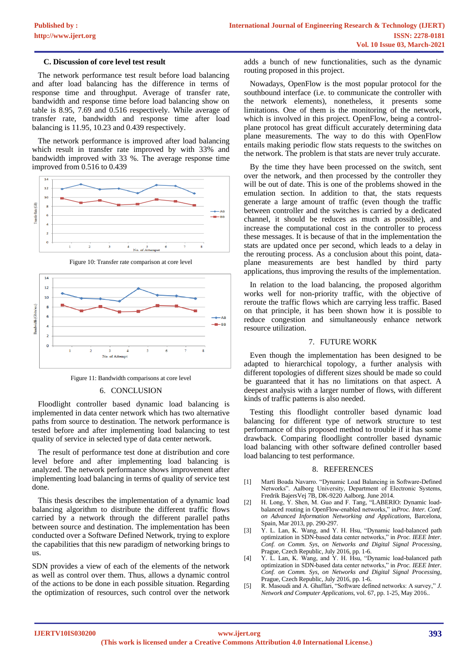## **C. Discussion of core level test result**

 The network performance test result before load balancing and after load balancing has the difference in terms of response time and throughput. Average of transfer rate, bandwidth and response time before load balancing show on table is 8.95, 7.69 and 0.516 respectively. While average of transfer rate, bandwidth and response time after load balancing is 11.95, 10.23 and 0.439 respectively.

 The network performance is improved after load balancing which result in transfer rate improved by with 33% and bandwidth improved with 33 %. The average response time improved from 0.516 to 0.439



Figure 10: Transfer rate comparison at core level



Figure 11: Bandwidth comparisons at core level

#### 6. CONCLUSION

 Floodlight controller based dynamic load balancing is implemented in data center network which has two alternative paths from source to destination. The network performance is tested before and after implementing load balancing to test quality of service in selected type of data center network.

 The result of performance test done at distribution and core level before and after implementing load balancing is analyzed. The network performance shows improvement after implementing load balancing in terms of quality of service test done.

 This thesis describes the implementation of a dynamic load balancing algorithm to distribute the different traffic flows carried by a network through the different parallel paths between source and destination. The implementation has been conducted over a Software Defined Network, trying to explore the capabilities that this new paradigm of networking brings to us.

SDN provides a view of each of the elements of the network as well as control over them. Thus, allows a dynamic control of the actions to be done in each possible situation. Regarding the optimization of resources, such control over the network

adds a bunch of new functionalities, such as the dynamic routing proposed in this project.

 Nowadays, OpenFlow is the most popular protocol for the southbound interface (i.e. to communicate the controller with the network elements), nonetheless, it presents some limitations. One of them is the monitoring of the network, which is involved in this project. OpenFlow, being a controlplane protocol has great difficult accurately determining data plane measurements. The way to do this with OpenFlow entails making periodic flow stats requests to the switches on the network. The problem is that stats are never truly accurate.

 By the time they have been processed on the switch, sent over the network, and then processed by the controller they will be out of date. This is one of the problems showed in the emulation section. In addition to that, the stats requests generate a large amount of traffic (even though the traffic between controller and the switches is carried by a dedicated channel, it should be reduces as much as possible), and increase the computational cost in the controller to process these messages. It is because of that in the implementation the stats are updated once per second, which leads to a delay in the rerouting process. As a conclusion about this point, dataplane measurements are best handled by third party applications, thus improving the results of the implementation.

 In relation to the load balancing, the proposed algorithm works well for non-priority traffic, with the objective of reroute the traffic flows which are carrying less traffic. Based on that principle, it has been shown how it is possible to reduce congestion and simultaneously enhance network resource utilization.

#### 7. FUTURE WORK

 Even though the implementation has been designed to be adapted to hierarchical topology, a further analysis with different topologies of different sizes should be made so could be guaranteed that it has no limitations on that aspect. A deepest analysis with a larger number of flows, with different kinds of traffic patterns is also needed.

 Testing this floodlight controller based dynamic load balancing for different type of network structure to test performance of this proposed method to trouble if it has some drawback. Comparing floodlight controller based dynamic load balancing with other software defined controller based load balancing to test performance.

#### 8. REFERENCES

- [1] Martí Boada Navarro. "Dynamic Load Balancing in Software-Defined Networks". Aalborg University, Department of Electronic Systems, Fredrik BajersVej 7B, DK-9220 Aalborg. June 2014.
- [2] H. Long, Y. Shen, M. Guo and F. Tang, "LABERIO: Dynamic loadbalanced routing in OpenFlow-enabled networks," in*Proc. Inter. Conf. on Advanced Information Networking and Applications*, Barcelona, Spain, Mar 2013, pp. 290-297.
- [3] Y. L. Lan, K. Wang, and Y. H. Hsu, "Dynamic load-balanced path optimization in SDN-based data center networks," in *Proc. IEEE Inter. Conf. on Comm. Sys, on Networks and Digital Signal Processing*, Prague, Czech Republic, July 2016*,* pp. 1-6.
- [4] Y. L. Lan, K. Wang, and Y. H. Hsu, "Dynamic load-balanced path optimization in SDN-based data center networks," in *Proc. IEEE Inter. Conf. on Comm. Sys, on Networks and Digital Signal Processing*, Prague, Czech Republic, July 2016*,* pp. 1-6.
- [5] R. Masoudi and A. Ghaffari, "Software defined networks: A survey," *J. Network and Computer Applications*, vol. 67, pp. 1-25, May 2016..